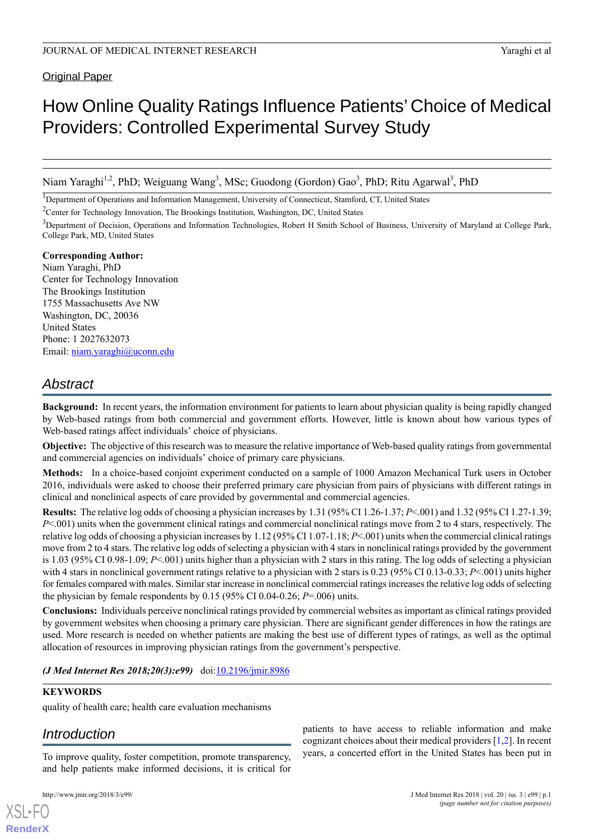Original Paper

# How Online Quality Ratings Influence Patients' Choice of Medical Providers: Controlled Experimental Survey Study

Niam Yaraghi<sup>1,2</sup>, PhD; Weiguang Wang<sup>3</sup>, MSc; Guodong (Gordon) Gao<sup>3</sup>, PhD; Ritu Agarwal<sup>3</sup>, PhD

<sup>1</sup>Department of Operations and Information Management, University of Connecticut, Stamford, CT, United States

<sup>2</sup>Center for Technology Innovation, The Brookings Institution, Washington, DC, United States

<sup>3</sup>Department of Decision, Operations and Information Technologies, Robert H Smith School of Business, University of Maryland at College Park, College Park, MD, United States

#### **Corresponding Author:**

Niam Yaraghi, PhD Center for Technology Innovation The Brookings Institution 1755 Massachusetts Ave NW Washington, DC, 20036 United States Phone: 1 2027632073 Email: [niam.yaraghi@uconn.edu](mailto:niam.yaraghi@uconn.edu)

# *Abstract*

**Background:** In recent years, the information environment for patients to learn about physician quality is being rapidly changed by Web-based ratings from both commercial and government efforts. However, little is known about how various types of Web-based ratings affect individuals' choice of physicians.

**Objective:** The objective of this research was to measure the relative importance of Web-based quality ratings from governmental and commercial agencies on individuals' choice of primary care physicians.

**Methods:** In a choice-based conjoint experiment conducted on a sample of 1000 Amazon Mechanical Turk users in October 2016, individuals were asked to choose their preferred primary care physician from pairs of physicians with different ratings in clinical and nonclinical aspects of care provided by governmental and commercial agencies.

**Results:** The relative log odds of choosing a physician increases by 1.31 (95% CI 1.26-1.37; *P*<.001) and 1.32 (95% CI 1.27-1.39; *P*<.001) units when the government clinical ratings and commercial nonclinical ratings move from 2 to 4 stars, respectively. The relative log odds of choosing a physician increases by 1.12 (95% CI 1.07-1.18; *P*<.001) units when the commercial clinical ratings move from 2 to 4 stars. The relative log odds of selecting a physician with 4 stars in nonclinical ratings provided by the government is 1.03 (95% CI 0.98-1.09; *P*<.001) units higher than a physician with 2 stars in this rating. The log odds of selecting a physician with 4 stars in nonclinical government ratings relative to a physician with 2 stars is 0.23 (95% CI 0.13-0.33; *P*<.001) units higher for females compared with males. Similar star increase in nonclinical commercial ratings increases the relative log odds of selecting the physician by female respondents by  $0.15$  (95% CI 0.04-0.26; *P*=.006) units.

**Conclusions:** Individuals perceive nonclinical ratings provided by commercial websites as important as clinical ratings provided by government websites when choosing a primary care physician. There are significant gender differences in how the ratings are used. More research is needed on whether patients are making the best use of different types of ratings, as well as the optimal allocation of resources in improving physician ratings from the government's perspective.

*(J Med Internet Res 2018;20(3):e99)* doi: $10.2196/$ jmir.8986

#### **KEYWORDS**

quality of health care; health care evaluation mechanisms

# *Introduction*

To improve quality, foster competition, promote transparency, and help patients make informed decisions, it is critical for

[XSL](http://www.w3.org/Style/XSL)•FO **[RenderX](http://www.renderx.com/)**

patients to have access to reliable information and make cognizant choices about their medical providers [[1,](#page-8-0)[2](#page-8-1)]. In recent years, a concerted effort in the United States has been put in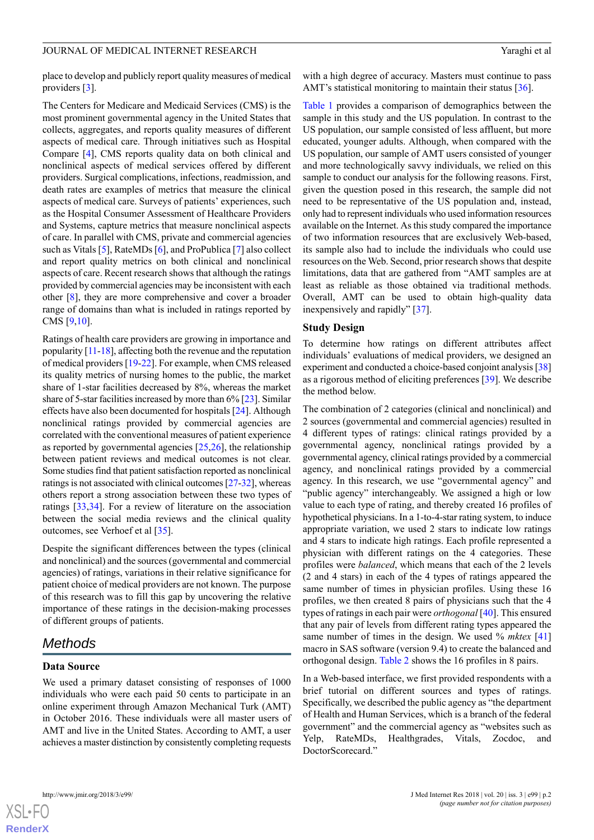place to develop and publicly report quality measures of medical providers [\[3](#page-8-2)].

The Centers for Medicare and Medicaid Services (CMS) is the most prominent governmental agency in the United States that collects, aggregates, and reports quality measures of different aspects of medical care. Through initiatives such as Hospital Compare [\[4](#page-8-3)], CMS reports quality data on both clinical and nonclinical aspects of medical services offered by different providers. Surgical complications, infections, readmission, and death rates are examples of metrics that measure the clinical aspects of medical care. Surveys of patients' experiences, such as the Hospital Consumer Assessment of Healthcare Providers and Systems, capture metrics that measure nonclinical aspects of care. In parallel with CMS, private and commercial agencies such as Vitals [[5\]](#page-8-4), RateMDs [\[6](#page-8-5)], and ProPublica [[7\]](#page-8-6) also collect and report quality metrics on both clinical and nonclinical aspects of care. Recent research shows that although the ratings provided by commercial agencies may be inconsistent with each other [[8\]](#page-8-7), they are more comprehensive and cover a broader range of domains than what is included in ratings reported by CMS [[9](#page-9-0),[10\]](#page-9-1).

Ratings of health care providers are growing in importance and popularity [\[11-](#page-9-2)[18\]](#page-9-3), affecting both the revenue and the reputation of medical providers [\[19](#page-9-4)-[22\]](#page-9-5). For example, when CMS released its quality metrics of nursing homes to the public, the market share of 1-star facilities decreased by 8%, whereas the market share of 5-star facilities increased by more than 6% [\[23](#page-9-6)]. Similar effects have also been documented for hospitals [\[24](#page-9-7)]. Although nonclinical ratings provided by commercial agencies are correlated with the conventional measures of patient experience as reported by governmental agencies [\[25](#page-9-8),[26\]](#page-9-9), the relationship between patient reviews and medical outcomes is not clear. Some studies find that patient satisfaction reported as nonclinical ratings is not associated with clinical outcomes [\[27-](#page-9-10)[32\]](#page-9-11), whereas others report a strong association between these two types of ratings [[33](#page-10-0)[,34](#page-10-1)]. For a review of literature on the association between the social media reviews and the clinical quality outcomes, see Verhoef et al [[35\]](#page-10-2).

Despite the significant differences between the types (clinical and nonclinical) and the sources (governmental and commercial agencies) of ratings, variations in their relative significance for patient choice of medical providers are not known. The purpose of this research was to fill this gap by uncovering the relative importance of these ratings in the decision-making processes of different groups of patients.

# *Methods*

#### **Data Source**

We used a primary dataset consisting of responses of 1000 individuals who were each paid 50 cents to participate in an online experiment through Amazon Mechanical Turk (AMT) in October 2016. These individuals were all master users of AMT and live in the United States. According to AMT, a user achieves a master distinction by consistently completing requests

with a high degree of accuracy. Masters must continue to pass AMT's statistical monitoring to maintain their status [\[36](#page-10-3)].

[Table 1](#page-2-0) provides a comparison of demographics between the sample in this study and the US population. In contrast to the US population, our sample consisted of less affluent, but more educated, younger adults. Although, when compared with the US population, our sample of AMT users consisted of younger and more technologically savvy individuals, we relied on this sample to conduct our analysis for the following reasons. First, given the question posed in this research, the sample did not need to be representative of the US population and, instead, only had to represent individuals who used information resources available on the Internet. As this study compared the importance of two information resources that are exclusively Web-based, its sample also had to include the individuals who could use resources on the Web. Second, prior research shows that despite limitations, data that are gathered from "AMT samples are at least as reliable as those obtained via traditional methods. Overall, AMT can be used to obtain high-quality data inexpensively and rapidly" [\[37](#page-10-4)].

#### **Study Design**

To determine how ratings on different attributes affect individuals' evaluations of medical providers, we designed an experiment and conducted a choice-based conjoint analysis [[38\]](#page-10-5) as a rigorous method of eliciting preferences [\[39](#page-10-6)]. We describe the method below.

The combination of 2 categories (clinical and nonclinical) and 2 sources (governmental and commercial agencies) resulted in 4 different types of ratings: clinical ratings provided by a governmental agency, nonclinical ratings provided by a governmental agency, clinical ratings provided by a commercial agency, and nonclinical ratings provided by a commercial agency. In this research, we use "governmental agency" and "public agency" interchangeably. We assigned a high or low value to each type of rating, and thereby created 16 profiles of hypothetical physicians. In a 1-to-4-star rating system, to induce appropriate variation, we used 2 stars to indicate low ratings and 4 stars to indicate high ratings. Each profile represented a physician with different ratings on the 4 categories. These profiles were *balanced*, which means that each of the 2 levels (2 and 4 stars) in each of the 4 types of ratings appeared the same number of times in physician profiles. Using these 16 profiles, we then created 8 pairs of physicians such that the 4 types of ratings in each pair were *orthogonal* [\[40](#page-10-7)]. This ensured that any pair of levels from different rating types appeared the same number of times in the design. We used % *mktex* [\[41](#page-10-8)] macro in SAS software (version 9.4) to create the balanced and orthogonal design. [Table 2](#page-3-0) shows the 16 profiles in 8 pairs.

In a Web-based interface, we first provided respondents with a brief tutorial on different sources and types of ratings. Specifically, we described the public agency as "the department of Health and Human Services, which is a branch of the federal government" and the commercial agency as "websites such as Yelp, RateMDs, Healthgrades, Vitals, Zocdoc, and DoctorScorecard."

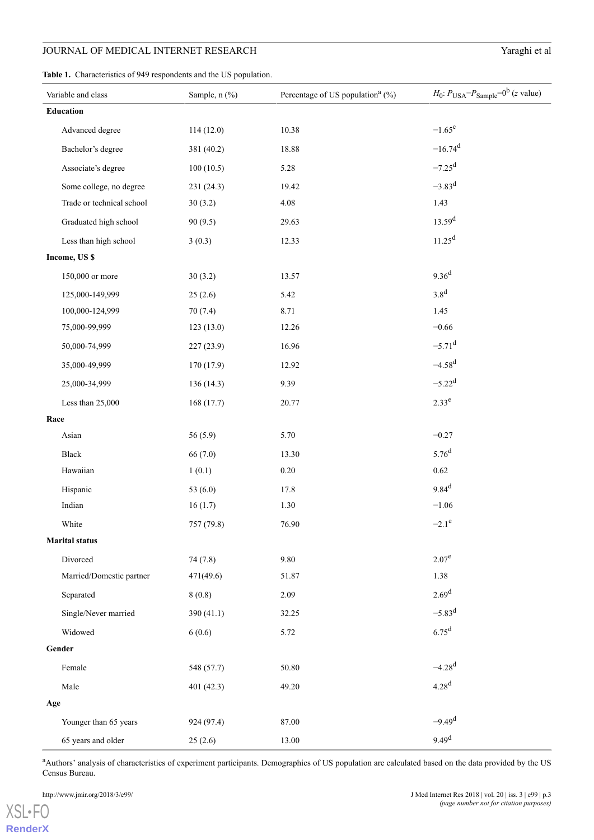<span id="page-2-0"></span>**Table 1.** Characteristics of 949 respondents and the US population.

| Variable and class        | Sample, n (%) | Percentage of US population <sup>a</sup> $(\% )$ | $H_0$ : $P_{\text{USA}} - P_{\text{Sample}} = 0^{\text{b}}$ (z value) |
|---------------------------|---------------|--------------------------------------------------|-----------------------------------------------------------------------|
| Education                 |               |                                                  |                                                                       |
| Advanced degree           | 114(12.0)     | 10.38                                            | $-1.65^c$                                                             |
| Bachelor's degree         | 381 (40.2)    | 18.88                                            | $-16.74$ <sup>d</sup>                                                 |
| Associate's degree        | 100(10.5)     | 5.28                                             | $-7.25$ <sup>d</sup>                                                  |
| Some college, no degree   | 231 (24.3)    | 19.42                                            | $-3.83^{d}$                                                           |
| Trade or technical school | 30(3.2)       | 4.08                                             | 1.43                                                                  |
| Graduated high school     | 90(9.5)       | 29.63                                            | 13.59 <sup>d</sup>                                                    |
| Less than high school     | 3(0.3)        | 12.33                                            | 11.25 <sup>d</sup>                                                    |
| Income, US \$             |               |                                                  |                                                                       |
| 150,000 or more           | 30(3.2)       | 13.57                                            | 9.36 <sup>d</sup>                                                     |
| 125,000-149,999           | 25(2.6)       | 5.42                                             | 3.8 <sup>d</sup>                                                      |
| 100,000-124,999           | 70(7.4)       | 8.71                                             | 1.45                                                                  |
| 75,000-99,999             | 123(13.0)     | 12.26                                            | $-0.66$                                                               |
| 50,000-74,999             | 227 (23.9)    | 16.96                                            | $-5.71$ <sup>d</sup>                                                  |
| 35,000-49,999             | 170 (17.9)    | 12.92                                            | $-4.58^{d}$                                                           |
| 25,000-34,999             | 136(14.3)     | 9.39                                             | $-5.22^d$                                                             |
| Less than 25,000          | 168(17.7)     | 20.77                                            | $2.33^{e}$                                                            |
| Race                      |               |                                                  |                                                                       |
| Asian                     | 56(5.9)       | 5.70                                             | $-0.27$                                                               |
| <b>Black</b>              | 66 (7.0)      | 13.30                                            | $5.76^{d}$                                                            |
| Hawaiian                  | 1(0.1)        | $0.20\,$                                         | $0.62\,$                                                              |
| Hispanic                  | 53 $(6.0)$    | 17.8                                             | $9.84^{d}$                                                            |
| Indian                    | 16(1.7)       | 1.30                                             | $-1.06$                                                               |
| White                     | 757 (79.8)    | 76.90                                            | $-2.1^e$                                                              |
| <b>Marital status</b>     |               |                                                  |                                                                       |
| Divorced                  | 74(7.8)       | 9.80                                             | $2.07^e$                                                              |
| Married/Domestic partner  | 471(49.6)     | 51.87                                            | 1.38                                                                  |
| Separated                 | 8(0.8)        | 2.09                                             | 2.69 <sup>d</sup>                                                     |
| Single/Never married      | 390 $(41.1)$  | 32.25                                            | $-5.83^{d}$                                                           |
| Widowed                   | 6(0.6)        | 5.72                                             | 6.75 <sup>d</sup>                                                     |
| Gender                    |               |                                                  |                                                                       |
| Female                    | 548 (57.7)    | 50.80                                            | $-4.28$ <sup>d</sup>                                                  |
| Male                      | 401 $(42.3)$  | 49.20                                            | 4.28 <sup>d</sup>                                                     |
| Age                       |               |                                                  |                                                                       |
| Younger than 65 years     | 924 (97.4)    | 87.00                                            | $-9.49d$                                                              |
| 65 years and older        | 25(2.6)       | 13.00                                            | 9.49 <sup>d</sup>                                                     |

<sup>a</sup>Authors' analysis of characteristics of experiment participants. Demographics of US population are calculated based on the data provided by the US Census Bureau.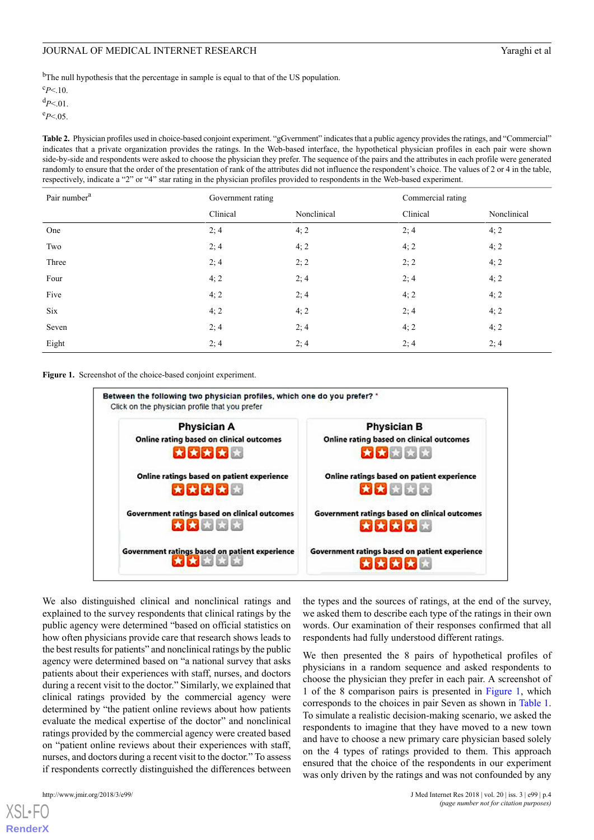<sup>b</sup>The null hypothesis that the percentage in sample is equal to that of the US population.

 $c_{P<.10}$ 

<sup>d</sup>*P*<.01.

<span id="page-3-0"></span> $e_{P<.05}$ .

**Table 2.** Physician profiles used in choice-based conjoint experiment. "gGvernment" indicates that a public agency provides the ratings, and "Commercial" indicates that a private organization provides the ratings. In the Web-based interface, the hypothetical physician profiles in each pair were shown side-by-side and respondents were asked to choose the physician they prefer. The sequence of the pairs and the attributes in each profile were generated randomly to ensure that the order of the presentation of rank of the attributes did not influence the respondent's choice. The values of 2 or 4 in the table, respectively, indicate a "2" or "4" star rating in the physician profiles provided to respondents in the Web-based experiment.

| Pair number <sup>a</sup> | Government rating |             | Commercial rating |             |
|--------------------------|-------------------|-------------|-------------------|-------------|
|                          | Clinical          | Nonclinical | Clinical          | Nonclinical |
| One                      | 2; 4              | 4; 2        | 2; 4              | 4; 2        |
| Two                      | 2; 4              | 4; 2        | 4; 2              | 4; 2        |
| Three                    | 2;4               | 2; 2        | 2; 2              | 4; 2        |
| Four                     | 4; 2              | 2; 4        | 2; 4              | 4; 2        |
| Five                     | 4; 2              | 2; 4        | 4; 2              | 4; 2        |
| Six                      | 4; 2              | 4; 2        | 2; 4              | 4; 2        |
| Seven                    | 2; 4              | 2; 4        | 4; 2              | 4; 2        |
| Eight                    | 2; 4              | 2; 4        | 2; 4              | 2; 4        |

<span id="page-3-1"></span>**Figure 1.** Screenshot of the choice-based conjoint experiment.



We also distinguished clinical and nonclinical ratings and explained to the survey respondents that clinical ratings by the public agency were determined "based on official statistics on how often physicians provide care that research shows leads to the best results for patients" and nonclinical ratings by the public agency were determined based on "a national survey that asks patients about their experiences with staff, nurses, and doctors during a recent visit to the doctor." Similarly, we explained that clinical ratings provided by the commercial agency were determined by "the patient online reviews about how patients evaluate the medical expertise of the doctor" and nonclinical ratings provided by the commercial agency were created based on "patient online reviews about their experiences with staff, nurses, and doctors during a recent visit to the doctor." To assess if respondents correctly distinguished the differences between

[XSL](http://www.w3.org/Style/XSL)•FO **[RenderX](http://www.renderx.com/)**

the types and the sources of ratings, at the end of the survey, we asked them to describe each type of the ratings in their own words. Our examination of their responses confirmed that all respondents had fully understood different ratings.

We then presented the 8 pairs of hypothetical profiles of physicians in a random sequence and asked respondents to choose the physician they prefer in each pair. A screenshot of 1 of the 8 comparison pairs is presented in [Figure 1](#page-3-1), which corresponds to the choices in pair Seven as shown in [Table 1](#page-2-0). To simulate a realistic decision-making scenario, we asked the respondents to imagine that they have moved to a new town and have to choose a new primary care physician based solely on the 4 types of ratings provided to them. This approach ensured that the choice of the respondents in our experiment was only driven by the ratings and was not confounded by any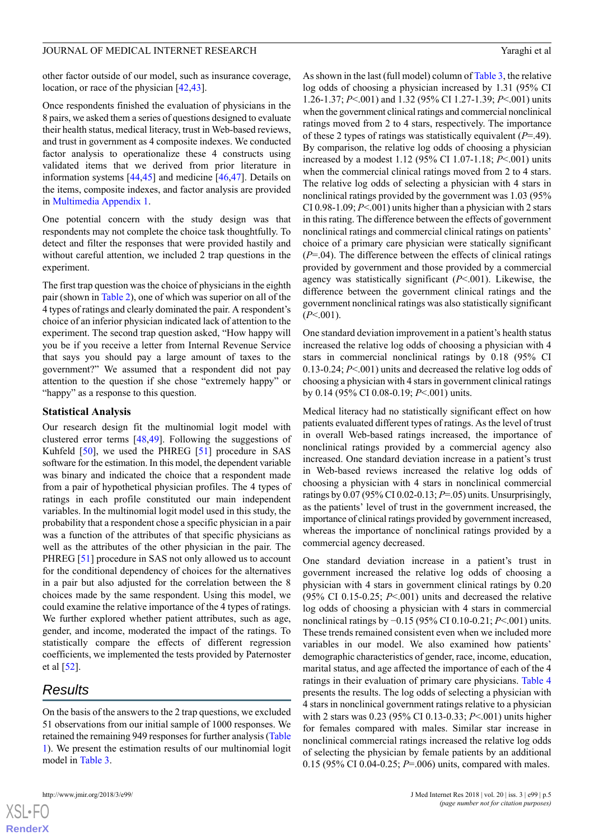other factor outside of our model, such as insurance coverage, location, or race of the physician [\[42](#page-10-9),[43\]](#page-10-10).

Once respondents finished the evaluation of physicians in the 8 pairs, we asked them a series of questions designed to evaluate their health status, medical literacy, trust in Web-based reviews, and trust in government as 4 composite indexes. We conducted factor analysis to operationalize these 4 constructs using validated items that we derived from prior literature in information systems [\[44](#page-10-11),[45\]](#page-10-12) and medicine [\[46](#page-10-13),[47\]](#page-10-14). Details on the items, composite indexes, and factor analysis are provided in [Multimedia Appendix 1.](#page-8-8)

One potential concern with the study design was that respondents may not complete the choice task thoughtfully. To detect and filter the responses that were provided hastily and without careful attention, we included 2 trap questions in the experiment.

The first trap question was the choice of physicians in the eighth pair (shown in [Table 2\)](#page-3-0), one of which was superior on all of the 4 types of ratings and clearly dominated the pair. A respondent's choice of an inferior physician indicated lack of attention to the experiment. The second trap question asked, "How happy will you be if you receive a letter from Internal Revenue Service that says you should pay a large amount of taxes to the government?" We assumed that a respondent did not pay attention to the question if she chose "extremely happy" or "happy" as a response to this question.

#### **Statistical Analysis**

Our research design fit the multinomial logit model with clustered error terms [\[48](#page-10-15),[49\]](#page-10-16). Following the suggestions of Kuhfeld [[50\]](#page-10-17), we used the PHREG [\[51](#page-10-18)] procedure in SAS software for the estimation. In this model, the dependent variable was binary and indicated the choice that a respondent made from a pair of hypothetical physician profiles. The 4 types of ratings in each profile constituted our main independent variables. In the multinomial logit model used in this study, the probability that a respondent chose a specific physician in a pair was a function of the attributes of that specific physicians as well as the attributes of the other physician in the pair. The PHREG [[51\]](#page-10-18) procedure in SAS not only allowed us to account for the conditional dependency of choices for the alternatives in a pair but also adjusted for the correlation between the 8 choices made by the same respondent. Using this model, we could examine the relative importance of the 4 types of ratings. We further explored whether patient attributes, such as age, gender, and income, moderated the impact of the ratings. To statistically compare the effects of different regression coefficients, we implemented the tests provided by Paternoster et al [\[52](#page-10-19)].

# *Results*

On the basis of the answers to the 2 trap questions, we excluded 51 observations from our initial sample of 1000 responses. We retained the remaining 949 responses for further analysis ([Table](#page-2-0) [1\)](#page-2-0). We present the estimation results of our multinomial logit model in [Table 3.](#page-5-0)

As shown in the last (full model) column of [Table 3](#page-5-0), the relative log odds of choosing a physician increased by 1.31 (95% CI 1.26-1.37; *P*<.001) and 1.32 (95% CI 1.27-1.39; *P*<.001) units when the government clinical ratings and commercial nonclinical ratings moved from 2 to 4 stars, respectively. The importance of these 2 types of ratings was statistically equivalent (*P*=.49). By comparison, the relative log odds of choosing a physician increased by a modest 1.12 (95% CI 1.07-1.18; *P*<.001) units when the commercial clinical ratings moved from 2 to 4 stars. The relative log odds of selecting a physician with 4 stars in nonclinical ratings provided by the government was 1.03 (95% CI 0.98-1.09; *P*<.001) units higher than a physician with 2 stars in this rating. The difference between the effects of government nonclinical ratings and commercial clinical ratings on patients' choice of a primary care physician were statically significant (*P*=.04). The difference between the effects of clinical ratings provided by government and those provided by a commercial agency was statistically significant (*P*<.001). Likewise, the difference between the government clinical ratings and the government nonclinical ratings was also statistically significant  $(P<.001)$ .

One standard deviation improvement in a patient's health status increased the relative log odds of choosing a physician with 4 stars in commercial nonclinical ratings by 0.18 (95% CI 0.13-0.24; *P*<.001) units and decreased the relative log odds of choosing a physician with 4 stars in government clinical ratings by 0.14 (95% CI 0.08-0.19; *P*<.001) units.

Medical literacy had no statistically significant effect on how patients evaluated different types of ratings. As the level of trust in overall Web-based ratings increased, the importance of nonclinical ratings provided by a commercial agency also increased. One standard deviation increase in a patient's trust in Web-based reviews increased the relative log odds of choosing a physician with 4 stars in nonclinical commercial ratings by 0.07 (95% CI 0.02-0.13; *P*=.05) units. Unsurprisingly, as the patients' level of trust in the government increased, the importance of clinical ratings provided by government increased, whereas the importance of nonclinical ratings provided by a commercial agency decreased.

One standard deviation increase in a patient's trust in government increased the relative log odds of choosing a physician with 4 stars in government clinical ratings by 0.20 (95% CI 0.15-0.25; *P*<.001) units and decreased the relative log odds of choosing a physician with 4 stars in commercial nonclinical ratings by −0.15 (95% CI 0.10-0.21; *P*<.001) units. These trends remained consistent even when we included more variables in our model. We also examined how patients' demographic characteristics of gender, race, income, education, marital status, and age affected the importance of each of the 4 ratings in their evaluation of primary care physicians. [Table 4](#page-6-0) presents the results. The log odds of selecting a physician with 4 stars in nonclinical government ratings relative to a physician with 2 stars was 0.23 (95% CI 0.13-0.33; *P*<.001) units higher for females compared with males. Similar star increase in nonclinical commercial ratings increased the relative log odds of selecting the physician by female patients by an additional 0.15 (95% CI 0.04-0.25; *P*=.006) units, compared with males.

 $XSI - F($ **[RenderX](http://www.renderx.com/)**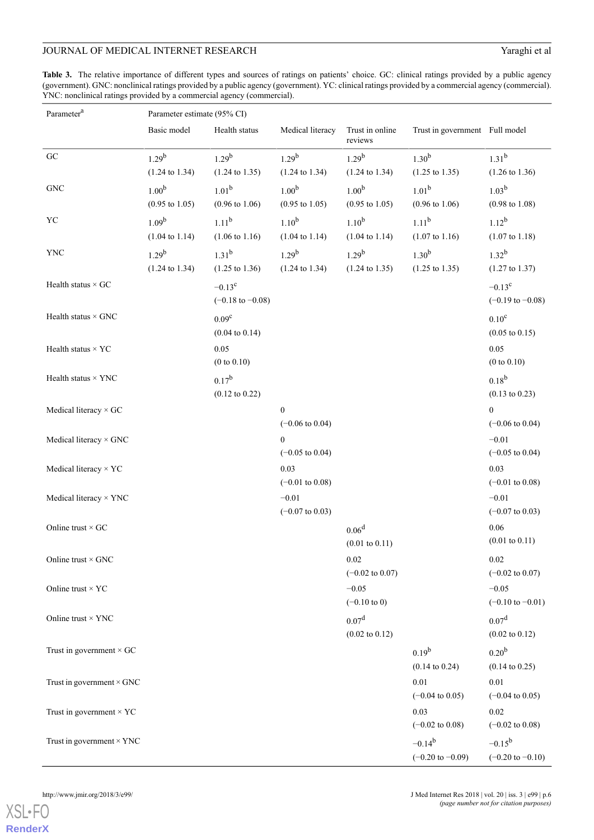<span id="page-5-0"></span>**Table 3.** The relative importance of different types and sources of ratings on patients' choice. GC: clinical ratings provided by a public agency (government). GNC: nonclinical ratings provided by a public agency (government). YC: clinical ratings provided by a commercial agency (commercial). YNC: nonclinical ratings provided by a commercial agency (commercial).

| Parameter <sup>a</sup>           | Parameter estimate (95% CI)                    |                                                |                                                |                                                |                                            |                                                |  |
|----------------------------------|------------------------------------------------|------------------------------------------------|------------------------------------------------|------------------------------------------------|--------------------------------------------|------------------------------------------------|--|
|                                  | Basic model                                    | Health status                                  | Medical literacy                               | Trust in online<br>reviews                     | Trust in government Full model             |                                                |  |
| ${\rm GC}$                       | $1.29^{b}$<br>$(1.24 \text{ to } 1.34)$        | $1.29^{b}$<br>$(1.24 \text{ to } 1.35)$        | $1.29^{b}$<br>$(1.24 \text{ to } 1.34)$        | $1.29^{b}$<br>$(1.24 \text{ to } 1.34)$        | $1.30^{b}$<br>$(1.25 \text{ to } 1.35)$    | $1.31^{b}$<br>$(1.26 \text{ to } 1.36)$        |  |
| ${\rm GNC}$                      | 1.00 <sup>b</sup><br>$(0.95 \text{ to } 1.05)$ | $1.01^{b}$<br>$(0.96 \text{ to } 1.06)$        | 1.00 <sup>b</sup><br>$(0.95 \text{ to } 1.05)$ | 1.00 <sup>b</sup><br>$(0.95 \text{ to } 1.05)$ | $1.01^{b}$<br>$(0.96 \text{ to } 1.06)$    | $1.03^{b}$<br>$(0.98 \text{ to } 1.08)$        |  |
| ${\rm YC}$                       | 1.09 <sup>b</sup><br>$(1.04 \text{ to } 1.14)$ | $1.11^{b}$<br>$(1.06 \text{ to } 1.16)$        | $1.10^{b}$<br>$(1.04 \text{ to } 1.14)$        | $1.10^{b}$<br>$(1.04 \text{ to } 1.14)$        | $1.11^{b}$<br>$(1.07 \text{ to } 1.16)$    | $1.12^{b}$<br>$(1.07 \text{ to } 1.18)$        |  |
| YNC                              | $1.29^{b}$<br>$(1.24 \text{ to } 1.34)$        | $1.31^{b}$<br>$(1.25 \text{ to } 1.36)$        | $1.29^{b}$<br>$(1.24 \text{ to } 1.34)$        | $1.29^{b}$<br>$(1.24 \text{ to } 1.35)$        | $1.30^{b}$<br>$(1.25 \text{ to } 1.35)$    | $1.32^{b}$<br>$(1.27 \text{ to } 1.37)$        |  |
| Health status $\times$ GC        |                                                | $-0.13^c$<br>$(-0.18 \text{ to } -0.08)$       |                                                |                                                |                                            | $-0.13^c$<br>$(-0.19 \text{ to } -0.08)$       |  |
| Health status $\times$ GNC       |                                                | 0.09 <sup>c</sup><br>$(0.04 \text{ to } 0.14)$ |                                                |                                                |                                            | $0.10^{\circ}$<br>$(0.05 \text{ to } 0.15)$    |  |
| Health status $\times$ YC        |                                                | 0.05<br>(0 to 0.10)                            |                                                |                                                |                                            | 0.05<br>(0 to 0.10)                            |  |
| Health status $\times$ YNC       |                                                | $0.17^{b}$<br>$(0.12 \text{ to } 0.22)$        |                                                |                                                |                                            | $0.18^{b}$<br>$(0.13 \text{ to } 0.23)$        |  |
| Medical literacy × GC            |                                                |                                                | $\boldsymbol{0}$<br>$(-0.06 \text{ to } 0.04)$ |                                                |                                            | $\Omega$<br>$(-0.06 \text{ to } 0.04)$         |  |
| Medical literacy × GNC           |                                                |                                                | $\Omega$<br>$(-0.05 \text{ to } 0.04)$         |                                                |                                            | $-0.01$<br>$(-0.05 \text{ to } 0.04)$          |  |
| Medical literacy × YC            |                                                |                                                | 0.03<br>$(-0.01 \text{ to } 0.08)$             |                                                |                                            | 0.03<br>$(-0.01 \text{ to } 0.08)$             |  |
| Medical literacy × YNC           |                                                |                                                | $-0.01$<br>$(-0.07 \text{ to } 0.03)$          |                                                |                                            | $-0.01$<br>$(-0.07 \text{ to } 0.03)$          |  |
| Online trust $\times$ GC         |                                                |                                                |                                                | 0.06 <sup>d</sup><br>$(0.01 \text{ to } 0.11)$ |                                            | 0.06<br>$(0.01 \text{ to } 0.11)$              |  |
| Online trust $\times$ GNC        |                                                |                                                |                                                | 0.02<br>$(-0.02 \text{ to } 0.07)$             |                                            | 0.02<br>$(-0.02 \text{ to } 0.07)$             |  |
| Online trust $\times$ YC         |                                                |                                                |                                                | $-0.05$<br>$(-0.10 \text{ to } 0)$             |                                            | $-0.05$<br>$(-0.10 \text{ to } -0.01)$         |  |
| Online trust $\times$ YNC        |                                                |                                                |                                                | 0.07 <sup>d</sup><br>$(0.02 \text{ to } 0.12)$ |                                            | 0.07 <sup>d</sup><br>$(0.02 \text{ to } 0.12)$ |  |
| Trust in government $\times$ GC  |                                                |                                                |                                                |                                                | $0.19^{b}$<br>$(0.14 \text{ to } 0.24)$    | 0.20 <sup>b</sup><br>$(0.14 \text{ to } 0.25)$ |  |
| Trust in government $\times$ GNC |                                                |                                                |                                                |                                                | 0.01<br>$(-0.04 \text{ to } 0.05)$         | 0.01<br>$(-0.04 \text{ to } 0.05)$             |  |
| Trust in government $\times$ YC  |                                                |                                                |                                                |                                                | 0.03<br>$(-0.02 \text{ to } 0.08)$         | 0.02<br>$(-0.02 \text{ to } 0.08)$             |  |
| Trust in government $\times$ YNC |                                                |                                                |                                                |                                                | $-0.14^{b}$<br>$(-0.20 \text{ to } -0.09)$ | $-0.15^{b}$<br>$(-0.20 \text{ to } -0.10)$     |  |

[XSL](http://www.w3.org/Style/XSL)•FO **[RenderX](http://www.renderx.com/)**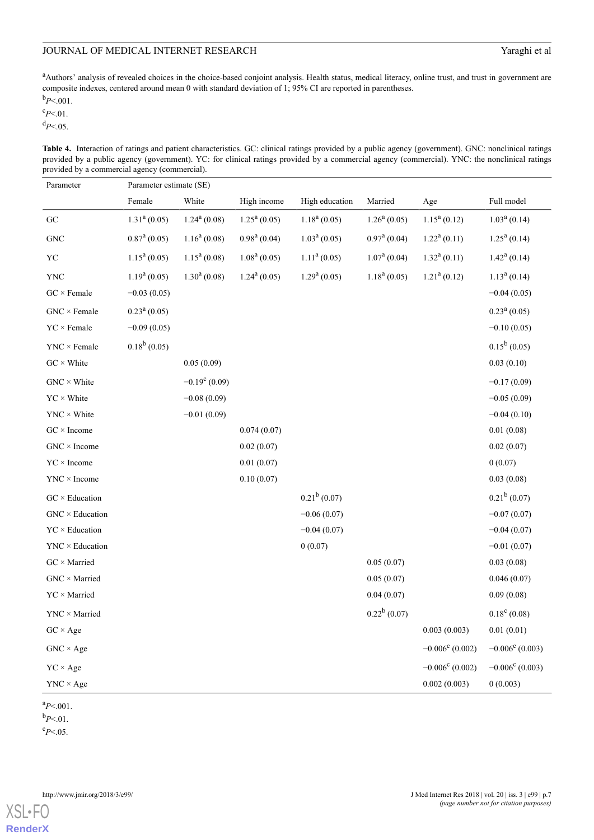<sup>a</sup>Authors' analysis of revealed choices in the choice-based conjoint analysis. Health status, medical literacy, online trust, and trust in government are composite indexes, centered around mean 0 with standard deviation of 1; 95% CI are reported in parentheses.

 $b_{P<.001}$ .

 $c_{P<.01}$ .

<span id="page-6-0"></span><sup>d</sup>*P*<.05.

Table 4. Interaction of ratings and patient characteristics. GC: clinical ratings provided by a public agency (government). GNC: nonclinical ratings provided by a public agency (government). YC: for clinical ratings provided by a commercial agency (commercial). YNC: the nonclinical ratings provided by a commercial agency (commercial).

| Parameter                   | Parameter estimate (SE) |                       |                |                          |                         |                          |                          |
|-----------------------------|-------------------------|-----------------------|----------------|--------------------------|-------------------------|--------------------------|--------------------------|
|                             | Female                  | White                 | High income    | High education           | Married                 | Age                      | Full model               |
| GC                          | $1.31a$ (0.05)          | $1.24^a(0.08)$        | $1.25^a(0.05)$ | $1.18a$ (0.05)           | $1.26^a(0.05)$          | $1.15^a(0.12)$           | $1.03a$ (0.14)           |
| <b>GNC</b>                  | $0.87^{\text{a}}(0.05)$ | $1.16^a(0.08)$        | $0.98^a(0.04)$ | $1.03^a(0.05)$           | $0.97^{\text{a}}(0.04)$ | $1.22^a(0.11)$           | $1.25^a(0.14)$           |
| YC                          | $1.15^a(0.05)$          | $1.15^a(0.08)$        | $1.08a$ (0.05) | $1.11a$ (0.05)           | $1.07a$ (0.04)          | $1.32^a(0.11)$           | $1.42^a(0.14)$           |
| <b>YNC</b>                  | $1.19a$ (0.05)          | $1.30a$ (0.08)        | $1.24^a(0.05)$ | 1.29 <sup>a</sup> (0.05) | $1.18a$ (0.05)          | $1.21a$ (0.12)           | $1.13^a(0.14)$           |
| $GC \times Female$          | $-0.03(0.05)$           |                       |                |                          |                         |                          | $-0.04(0.05)$            |
| $GNC \times Female$         | $0.23^a(0.05)$          |                       |                |                          |                         |                          | $0.23^a(0.05)$           |
| $YC \times Female$          | $-0.09(0.05)$           |                       |                |                          |                         |                          | $-0.10(0.05)$            |
| $YNC \times Female$         | $0.18^b(0.05)$          |                       |                |                          |                         |                          | $0.15^b(0.05)$           |
| $GC \times White$           |                         | 0.05(0.09)            |                |                          |                         |                          | 0.03(0.10)               |
| $GNC \times White$          |                         | $-0.19^{\circ}(0.09)$ |                |                          |                         |                          | $-0.17(0.09)$            |
| $YC \times White$           |                         | $-0.08(0.09)$         |                |                          |                         |                          | $-0.05(0.09)$            |
| $YNC \times White$          |                         | $-0.01(0.09)$         |                |                          |                         |                          | $-0.04(0.10)$            |
| $GC \times Income$          |                         |                       | 0.074(0.07)    |                          |                         |                          | 0.01(0.08)               |
| $GNC \times Income$         |                         |                       | 0.02(0.07)     |                          |                         |                          | 0.02(0.07)               |
| $YC \times Income$          |                         |                       | 0.01(0.07)     |                          |                         |                          | 0(0.07)                  |
| $YNC \times Income$         |                         |                       | 0.10(0.07)     |                          |                         |                          | 0.03(0.08)               |
| $GC \times Education$       |                         |                       |                | $0.21^b$ (0.07)          |                         |                          | $0.21^b(0.07)$           |
| $GNC \times Education$      |                         |                       |                | $-0.06(0.07)$            |                         |                          | $-0.07(0.07)$            |
| $YC \times Education$       |                         |                       |                | $-0.04(0.07)$            |                         |                          | $-0.04(0.07)$            |
| $YNC \times Education$      |                         |                       |                | 0(0.07)                  |                         |                          | $-0.01(0.07)$            |
| $GC \times \text{Married}$  |                         |                       |                |                          | 0.05(0.07)              |                          | 0.03(0.08)               |
| $GNC \times \text{Married}$ |                         |                       |                |                          | 0.05(0.07)              |                          | 0.046(0.07)              |
| $YC \times \text{Married}$  |                         |                       |                |                          | 0.04(0.07)              |                          | 0.09(0.08)               |
| $YNC \times \text{Married}$ |                         |                       |                |                          | $0.22^b$ (0.07)         |                          | $0.18^{\circ}$ (0.08)    |
| $GC \times Age$             |                         |                       |                |                          |                         | 0.003(0.003)             | 0.01(0.01)               |
| $GNC \times Age$            |                         |                       |                |                          |                         | $-0.006^{\circ}$ (0.002) | $-0.006^c$ (0.003)       |
| $YC \times Age$             |                         |                       |                |                          |                         | $-0.006^{\circ}$ (0.002) | $-0.006^{\rm c}$ (0.003) |
| $YNC \times Age$            |                         |                       |                |                          |                         | 0.002(0.003)             | 0(0.003)                 |

 $a_{P<.001}$ .

 $b_{P<.01}$ .

 $c_{P<.05}$ .

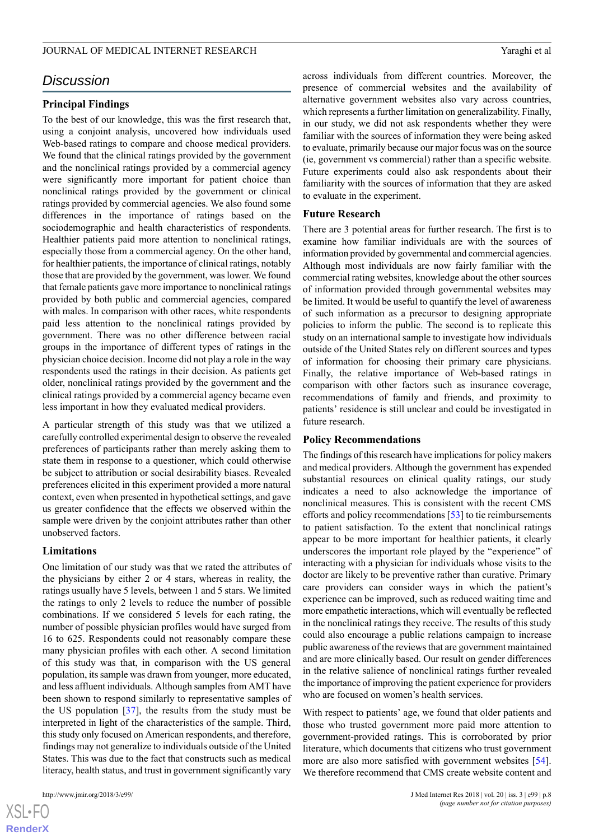# *Discussion*

#### **Principal Findings**

To the best of our knowledge, this was the first research that, using a conjoint analysis, uncovered how individuals used Web-based ratings to compare and choose medical providers. We found that the clinical ratings provided by the government and the nonclinical ratings provided by a commercial agency were significantly more important for patient choice than nonclinical ratings provided by the government or clinical ratings provided by commercial agencies. We also found some differences in the importance of ratings based on the sociodemographic and health characteristics of respondents. Healthier patients paid more attention to nonclinical ratings, especially those from a commercial agency. On the other hand, for healthier patients, the importance of clinical ratings, notably those that are provided by the government, was lower. We found that female patients gave more importance to nonclinical ratings provided by both public and commercial agencies, compared with males. In comparison with other races, white respondents paid less attention to the nonclinical ratings provided by government. There was no other difference between racial groups in the importance of different types of ratings in the physician choice decision. Income did not play a role in the way respondents used the ratings in their decision. As patients get older, nonclinical ratings provided by the government and the clinical ratings provided by a commercial agency became even less important in how they evaluated medical providers.

A particular strength of this study was that we utilized a carefully controlled experimental design to observe the revealed preferences of participants rather than merely asking them to state them in response to a questioner, which could otherwise be subject to attribution or social desirability biases. Revealed preferences elicited in this experiment provided a more natural context, even when presented in hypothetical settings, and gave us greater confidence that the effects we observed within the sample were driven by the conjoint attributes rather than other unobserved factors.

#### **Limitations**

One limitation of our study was that we rated the attributes of the physicians by either 2 or 4 stars, whereas in reality, the ratings usually have 5 levels, between 1 and 5 stars. We limited the ratings to only 2 levels to reduce the number of possible combinations. If we considered 5 levels for each rating, the number of possible physician profiles would have surged from 16 to 625. Respondents could not reasonably compare these many physician profiles with each other. A second limitation of this study was that, in comparison with the US general population, its sample was drawn from younger, more educated, and less affluent individuals. Although samples from AMT have been shown to respond similarly to representative samples of the US population [\[37](#page-10-4)], the results from the study must be interpreted in light of the characteristics of the sample. Third, this study only focused on American respondents, and therefore, findings may not generalize to individuals outside of the United States. This was due to the fact that constructs such as medical literacy, health status, and trust in government significantly vary

 $XS$ -FO **[RenderX](http://www.renderx.com/)** across individuals from different countries. Moreover, the presence of commercial websites and the availability of alternative government websites also vary across countries, which represents a further limitation on generalizability. Finally, in our study, we did not ask respondents whether they were familiar with the sources of information they were being asked to evaluate, primarily because our major focus was on the source (ie, government vs commercial) rather than a specific website. Future experiments could also ask respondents about their familiarity with the sources of information that they are asked to evaluate in the experiment.

#### **Future Research**

There are 3 potential areas for further research. The first is to examine how familiar individuals are with the sources of information provided by governmental and commercial agencies. Although most individuals are now fairly familiar with the commercial rating websites, knowledge about the other sources of information provided through governmental websites may be limited. It would be useful to quantify the level of awareness of such information as a precursor to designing appropriate policies to inform the public. The second is to replicate this study on an international sample to investigate how individuals outside of the United States rely on different sources and types of information for choosing their primary care physicians. Finally, the relative importance of Web-based ratings in comparison with other factors such as insurance coverage, recommendations of family and friends, and proximity to patients' residence is still unclear and could be investigated in future research.

#### **Policy Recommendations**

The findings of this research have implications for policy makers and medical providers. Although the government has expended substantial resources on clinical quality ratings, our study indicates a need to also acknowledge the importance of nonclinical measures. This is consistent with the recent CMS efforts and policy recommendations [[53\]](#page-10-20) to tie reimbursements to patient satisfaction. To the extent that nonclinical ratings appear to be more important for healthier patients, it clearly underscores the important role played by the "experience" of interacting with a physician for individuals whose visits to the doctor are likely to be preventive rather than curative. Primary care providers can consider ways in which the patient's experience can be improved, such as reduced waiting time and more empathetic interactions, which will eventually be reflected in the nonclinical ratings they receive. The results of this study could also encourage a public relations campaign to increase public awareness of the reviews that are government maintained and are more clinically based. Our result on gender differences in the relative salience of nonclinical ratings further revealed the importance of improving the patient experience for providers who are focused on women's health services.

With respect to patients' age, we found that older patients and those who trusted government more paid more attention to government-provided ratings. This is corroborated by prior literature, which documents that citizens who trust government more are also more satisfied with government websites [[54\]](#page-10-21). We therefore recommend that CMS create website content and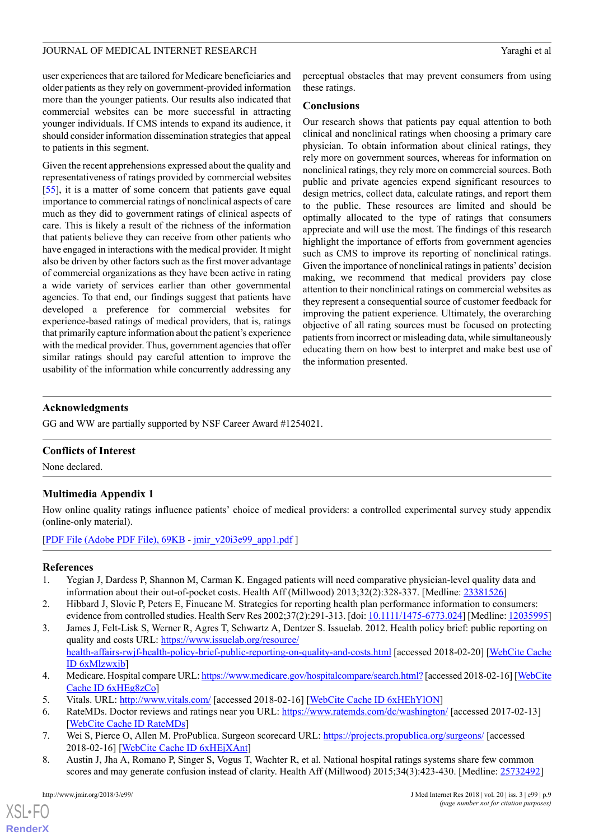user experiences that are tailored for Medicare beneficiaries and older patients as they rely on government-provided information more than the younger patients. Our results also indicated that commercial websites can be more successful in attracting younger individuals. If CMS intends to expand its audience, it should consider information dissemination strategies that appeal to patients in this segment.

Given the recent apprehensions expressed about the quality and representativeness of ratings provided by commercial websites [[55\]](#page-10-22), it is a matter of some concern that patients gave equal importance to commercial ratings of nonclinical aspects of care much as they did to government ratings of clinical aspects of care. This is likely a result of the richness of the information that patients believe they can receive from other patients who have engaged in interactions with the medical provider. It might also be driven by other factors such as the first mover advantage of commercial organizations as they have been active in rating a wide variety of services earlier than other governmental agencies. To that end, our findings suggest that patients have developed a preference for commercial websites for experience-based ratings of medical providers, that is, ratings that primarily capture information about the patient's experience with the medical provider. Thus, government agencies that offer similar ratings should pay careful attention to improve the usability of the information while concurrently addressing any

perceptual obstacles that may prevent consumers from using these ratings.

#### **Conclusions**

Our research shows that patients pay equal attention to both clinical and nonclinical ratings when choosing a primary care physician. To obtain information about clinical ratings, they rely more on government sources, whereas for information on nonclinical ratings, they rely more on commercial sources. Both public and private agencies expend significant resources to design metrics, collect data, calculate ratings, and report them to the public. These resources are limited and should be optimally allocated to the type of ratings that consumers appreciate and will use the most. The findings of this research highlight the importance of efforts from government agencies such as CMS to improve its reporting of nonclinical ratings. Given the importance of nonclinical ratings in patients' decision making, we recommend that medical providers pay close attention to their nonclinical ratings on commercial websites as they represent a consequential source of customer feedback for improving the patient experience. Ultimately, the overarching objective of all rating sources must be focused on protecting patients from incorrect or misleading data, while simultaneously educating them on how best to interpret and make best use of the information presented.

## **Acknowledgments**

GG and WW are partially supported by NSF Career Award #1254021.

#### <span id="page-8-8"></span>**Conflicts of Interest**

None declared.

## **Multimedia Appendix 1**

<span id="page-8-0"></span>How online quality ratings influence patients' choice of medical providers: a controlled experimental survey study appendix (online-only material).

<span id="page-8-1"></span>[[PDF File \(Adobe PDF File\), 69KB](http://www.jmir.org/article/downloadSuppFile/8986/67730) - [jmir\\_v20i3e99\\_app1.pdf](http://www.jmir.org/article/downloadSuppFile/8986/67730) ]

#### <span id="page-8-2"></span>**References**

- 1. Yegian J, Dardess P, Shannon M, Carman K. Engaged patients will need comparative physician-level quality data and information about their out-of-pocket costs. Health Aff (Millwood) 2013;32(2):328-337. [Medline: [23381526\]](http://www.ncbi.nlm.nih.gov/entrez/query.fcgi?cmd=Retrieve&db=PubMed&list_uids=23381526&dopt=Abstract)
- <span id="page-8-3"></span>2. Hibbard J, Slovic P, Peters E, Finucane M. Strategies for reporting health plan performance information to consumers: evidence from controlled studies. Health Serv Res 2002;37(2):291-313. [doi: [10.1111/1475-6773.024\]](http://dx.doi.org/10.1111/1475-6773.024) [Medline: [12035995\]](http://www.ncbi.nlm.nih.gov/entrez/query.fcgi?cmd=Retrieve&db=PubMed&list_uids=12035995&dopt=Abstract)
- <span id="page-8-5"></span><span id="page-8-4"></span>3. James J, Felt-Lisk S, Werner R, Agres T, Schwartz A, Dentzer S. Issuelab. 2012. Health policy brief: public reporting on quality and costs URL: [https://www.issuelab.org/resource/](https://www.issuelab.org/resource/health-affairs-rwjf-health-policy-brief-public-reporting-on-quality-and-costs.html) [health-affairs-rwjf-health-policy-brief-public-reporting-on-quality-and-costs.html](https://www.issuelab.org/resource/health-affairs-rwjf-health-policy-brief-public-reporting-on-quality-and-costs.html) [accessed 2018-02-20] [[WebCite Cache](http://www.webcitation.org/6xMlzwxjb) [ID 6xMlzwxjb\]](http://www.webcitation.org/6xMlzwxjb)
- <span id="page-8-7"></span><span id="page-8-6"></span>4. Medicare. Hospital compare URL:<https://www.medicare.gov/hospitalcompare/search.html?> [accessed 2018-02-16] [\[WebCite](http://www.webcitation.org/6xHEg8zCo) [Cache ID 6xHEg8zCo](http://www.webcitation.org/6xHEg8zCo)]
- 5. Vitals. URL:<http://www.vitals.com/> [accessed 2018-02-16] [[WebCite Cache ID 6xHEhYlON](http://www.webcitation.org/6xHEhYlON)]
- 6. RateMDs. Doctor reviews and ratings near you URL: <https://www.ratemds.com/dc/washington/> [accessed 2017-02-13] [[WebCite Cache ID RateMDs\]](http://www.webcitation.org/RateMDs)
- 7. Wei S, Pierce O, Allen M. ProPublica. Surgeon scorecard URL:<https://projects.propublica.org/surgeons/> [accessed 2018-02-16] [\[WebCite Cache ID 6xHEjXAnt](http://www.webcitation.org/6xHEjXAnt)]
- 8. Austin J, Jha A, Romano P, Singer S, Vogus T, Wachter R, et al. National hospital ratings systems share few common scores and may generate confusion instead of clarity. Health Aff (Millwood) 2015;34(3):423-430. [Medline: [25732492\]](http://www.ncbi.nlm.nih.gov/entrez/query.fcgi?cmd=Retrieve&db=PubMed&list_uids=25732492&dopt=Abstract)

[XSL](http://www.w3.org/Style/XSL)•FO **[RenderX](http://www.renderx.com/)**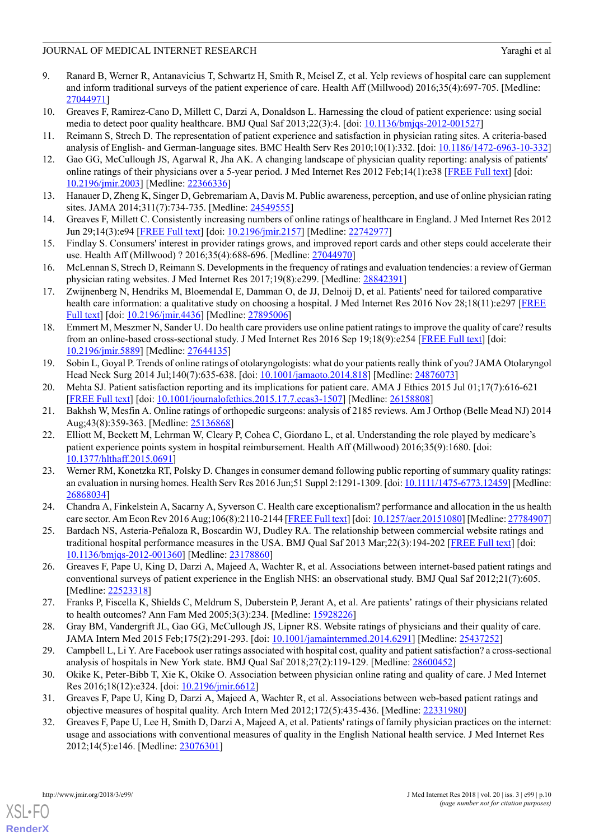- <span id="page-9-0"></span>9. Ranard B, Werner R, Antanavicius T, Schwartz H, Smith R, Meisel Z, et al. Yelp reviews of hospital care can supplement and inform traditional surveys of the patient experience of care. Health Aff (Millwood) 2016;35(4):697-705. [Medline: [27044971](http://www.ncbi.nlm.nih.gov/entrez/query.fcgi?cmd=Retrieve&db=PubMed&list_uids=27044971&dopt=Abstract)]
- <span id="page-9-2"></span><span id="page-9-1"></span>10. Greaves F, Ramirez-Cano D, Millett C, Darzi A, Donaldson L. Harnessing the cloud of patient experience: using social media to detect poor quality healthcare. BMJ Qual Saf 2013;22(3):4. [doi: [10.1136/bmjqs-2012-001527](http://dx.doi.org/10.1136/bmjqs-2012-001527)]
- 11. Reimann S, Strech D. The representation of patient experience and satisfaction in physician rating sites. A criteria-based analysis of English- and German-language sites. BMC Health Serv Res 2010;10(1):332. [doi: [10.1186/1472-6963-10-332](http://dx.doi.org/10.1186/1472-6963-10-332)]
- 12. Gao GG, McCullough JS, Agarwal R, Jha AK. A changing landscape of physician quality reporting: analysis of patients' online ratings of their physicians over a 5-year period. J Med Internet Res 2012 Feb;14(1):e38 [[FREE Full text](http://www.jmir.org/2012/1/e38/)] [doi: [10.2196/jmir.2003](http://dx.doi.org/10.2196/jmir.2003)] [Medline: [22366336](http://www.ncbi.nlm.nih.gov/entrez/query.fcgi?cmd=Retrieve&db=PubMed&list_uids=22366336&dopt=Abstract)]
- 13. Hanauer D, Zheng K, Singer D, Gebremariam A, Davis M. Public awareness, perception, and use of online physician rating sites. JAMA 2014;311(7):734-735. [Medline: [24549555](http://www.ncbi.nlm.nih.gov/entrez/query.fcgi?cmd=Retrieve&db=PubMed&list_uids=24549555&dopt=Abstract)]
- 14. Greaves F, Millett C. Consistently increasing numbers of online ratings of healthcare in England. J Med Internet Res 2012 Jun 29;14(3):e94 [\[FREE Full text\]](http://www.jmir.org/2012/3/e94/) [doi: [10.2196/jmir.2157\]](http://dx.doi.org/10.2196/jmir.2157) [Medline: [22742977\]](http://www.ncbi.nlm.nih.gov/entrez/query.fcgi?cmd=Retrieve&db=PubMed&list_uids=22742977&dopt=Abstract)
- 15. Findlay S. Consumers' interest in provider ratings grows, and improved report cards and other steps could accelerate their use. Health Aff (Millwood) ? 2016;35(4):688-696. [Medline: [27044970](http://www.ncbi.nlm.nih.gov/entrez/query.fcgi?cmd=Retrieve&db=PubMed&list_uids=27044970&dopt=Abstract)]
- 16. McLennan S, Strech D, Reimann S. Developments in the frequency of ratings and evaluation tendencies: a review of German physician rating websites. J Med Internet Res 2017;19(8):e299. [Medline: [28842391](http://www.ncbi.nlm.nih.gov/entrez/query.fcgi?cmd=Retrieve&db=PubMed&list_uids=28842391&dopt=Abstract)]
- <span id="page-9-3"></span>17. Zwijnenberg N, Hendriks M, Bloemendal E, Damman O, de JJ, Delnoij D, et al. Patients' need for tailored comparative health care information: a qualitative study on choosing a hospital. J Med Internet Res 2016 Nov 28;18(11):e297 [[FREE](http://www.jmir.org/2016/11/e297/) [Full text](http://www.jmir.org/2016/11/e297/)] [doi: [10.2196/jmir.4436](http://dx.doi.org/10.2196/jmir.4436)] [Medline: [27895006\]](http://www.ncbi.nlm.nih.gov/entrez/query.fcgi?cmd=Retrieve&db=PubMed&list_uids=27895006&dopt=Abstract)
- <span id="page-9-4"></span>18. Emmert M, Meszmer N, Sander U. Do health care providers use online patient ratings to improve the quality of care? results from an online-based cross-sectional study. J Med Internet Res 2016 Sep 19;18(9):e254 [\[FREE Full text\]](http://www.jmir.org/2016/9/e254/) [doi: [10.2196/jmir.5889](http://dx.doi.org/10.2196/jmir.5889)] [Medline: [27644135](http://www.ncbi.nlm.nih.gov/entrez/query.fcgi?cmd=Retrieve&db=PubMed&list_uids=27644135&dopt=Abstract)]
- 19. Sobin L, Goyal P. Trends of online ratings of otolaryngologists: what do your patients really think of you? JAMA Otolaryngol Head Neck Surg 2014 Jul;140(7):635-638. [doi: [10.1001/jamaoto.2014.818](http://dx.doi.org/10.1001/jamaoto.2014.818)] [Medline: [24876073](http://www.ncbi.nlm.nih.gov/entrez/query.fcgi?cmd=Retrieve&db=PubMed&list_uids=24876073&dopt=Abstract)]
- <span id="page-9-5"></span>20. Mehta SJ. Patient satisfaction reporting and its implications for patient care. AMA J Ethics 2015 Jul 01;17(7):616-621 [[FREE Full text](http://journalofethics.ama-assn.org/2015/07/ecas3-1507.html)] [doi: [10.1001/journalofethics.2015.17.7.ecas3-1507](http://dx.doi.org/10.1001/journalofethics.2015.17.7.ecas3-1507)] [Medline: [26158808\]](http://www.ncbi.nlm.nih.gov/entrez/query.fcgi?cmd=Retrieve&db=PubMed&list_uids=26158808&dopt=Abstract)
- 21. Bakhsh W, Mesfin A. Online ratings of orthopedic surgeons: analysis of 2185 reviews. Am J Orthop (Belle Mead NJ) 2014 Aug;43(8):359-363. [Medline: [25136868](http://www.ncbi.nlm.nih.gov/entrez/query.fcgi?cmd=Retrieve&db=PubMed&list_uids=25136868&dopt=Abstract)]
- <span id="page-9-6"></span>22. Elliott M, Beckett M, Lehrman W, Cleary P, Cohea C, Giordano L, et al. Understanding the role played by medicare's patient experience points system in hospital reimbursement. Health Aff (Millwood) 2016;35(9):1680. [doi: [10.1377/hlthaff.2015.0691](http://dx.doi.org/10.1377/hlthaff.2015.0691)]
- <span id="page-9-8"></span><span id="page-9-7"></span>23. Werner RM, Konetzka RT, Polsky D. Changes in consumer demand following public reporting of summary quality ratings: an evaluation in nursing homes. Health Serv Res 2016 Jun;51 Suppl 2:1291-1309. [doi: [10.1111/1475-6773.12459\]](http://dx.doi.org/10.1111/1475-6773.12459) [Medline: [26868034](http://www.ncbi.nlm.nih.gov/entrez/query.fcgi?cmd=Retrieve&db=PubMed&list_uids=26868034&dopt=Abstract)]
- <span id="page-9-9"></span>24. Chandra A, Finkelstein A, Sacarny A, Syverson C. Health care exceptionalism? performance and allocation in the us health care sector. Am Econ Rev 2016 Aug;106(8):2110-2144 [[FREE Full text\]](http://europepmc.org/abstract/MED/27784907) [doi: [10.1257/aer.20151080](http://dx.doi.org/10.1257/aer.20151080)] [Medline: [27784907](http://www.ncbi.nlm.nih.gov/entrez/query.fcgi?cmd=Retrieve&db=PubMed&list_uids=27784907&dopt=Abstract)]
- <span id="page-9-10"></span>25. Bardach NS, Asteria-Peñaloza R, Boscardin WJ, Dudley RA. The relationship between commercial website ratings and traditional hospital performance measures in the USA. BMJ Qual Saf 2013 Mar; 22(3):194-202 [[FREE Full text](http://europepmc.org/abstract/MED/23178860)] [doi: [10.1136/bmjqs-2012-001360](http://dx.doi.org/10.1136/bmjqs-2012-001360)] [Medline: [23178860](http://www.ncbi.nlm.nih.gov/entrez/query.fcgi?cmd=Retrieve&db=PubMed&list_uids=23178860&dopt=Abstract)]
- 26. Greaves F, Pape U, King D, Darzi A, Majeed A, Wachter R, et al. Associations between internet-based patient ratings and conventional surveys of patient experience in the English NHS: an observational study. BMJ Qual Saf 2012;21(7):605. [Medline: [22523318](http://www.ncbi.nlm.nih.gov/entrez/query.fcgi?cmd=Retrieve&db=PubMed&list_uids=22523318&dopt=Abstract)]
- 27. Franks P, Fiscella K, Shields C, Meldrum S, Duberstein P, Jerant A, et al. Are patients' ratings of their physicians related to health outcomes? Ann Fam Med 2005;3(3):234. [Medline: [15928226\]](http://www.ncbi.nlm.nih.gov/entrez/query.fcgi?cmd=Retrieve&db=PubMed&list_uids=15928226&dopt=Abstract)
- 28. Gray BM, Vandergrift JL, Gao GG, McCullough JS, Lipner RS. Website ratings of physicians and their quality of care. JAMA Intern Med 2015 Feb;175(2):291-293. [doi: [10.1001/jamainternmed.2014.6291\]](http://dx.doi.org/10.1001/jamainternmed.2014.6291) [Medline: [25437252\]](http://www.ncbi.nlm.nih.gov/entrez/query.fcgi?cmd=Retrieve&db=PubMed&list_uids=25437252&dopt=Abstract)
- <span id="page-9-11"></span>29. Campbell L, Li Y. Are Facebook user ratings associated with hospital cost, quality and patient satisfaction? a cross-sectional analysis of hospitals in New York state. BMJ Qual Saf 2018;27(2):119-129. [Medline: [28600452\]](http://www.ncbi.nlm.nih.gov/entrez/query.fcgi?cmd=Retrieve&db=PubMed&list_uids=28600452&dopt=Abstract)
- 30. Okike K, Peter-Bibb T, Xie K, Okike O. Association between physician online rating and quality of care. J Med Internet Res 2016;18(12):e324. [doi: [10.2196/jmir.6612\]](http://dx.doi.org/10.2196/jmir.6612)
- 31. Greaves F, Pape U, King D, Darzi A, Majeed A, Wachter R, et al. Associations between web-based patient ratings and objective measures of hospital quality. Arch Intern Med 2012;172(5):435-436. [Medline: [22331980](http://www.ncbi.nlm.nih.gov/entrez/query.fcgi?cmd=Retrieve&db=PubMed&list_uids=22331980&dopt=Abstract)]
- 32. Greaves F, Pape U, Lee H, Smith D, Darzi A, Majeed A, et al. Patients' ratings of family physician practices on the internet: usage and associations with conventional measures of quality in the English National health service. J Med Internet Res 2012;14(5):e146. [Medline: [23076301](http://www.ncbi.nlm.nih.gov/entrez/query.fcgi?cmd=Retrieve&db=PubMed&list_uids=23076301&dopt=Abstract)]

[XSL](http://www.w3.org/Style/XSL)•FO **[RenderX](http://www.renderx.com/)**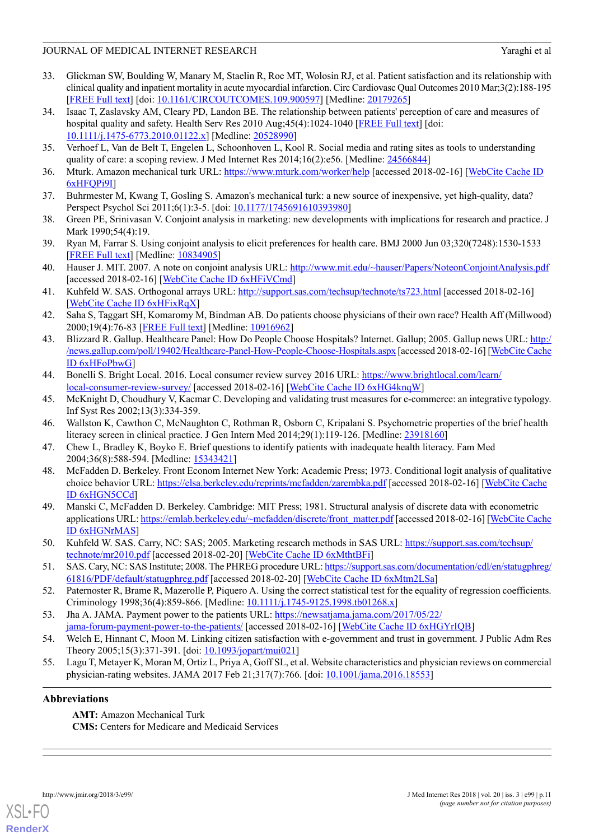- <span id="page-10-0"></span>33. Glickman SW, Boulding W, Manary M, Staelin R, Roe MT, Wolosin RJ, et al. Patient satisfaction and its relationship with clinical quality and inpatient mortality in acute myocardial infarction. Circ Cardiovasc Qual Outcomes 2010 Mar;3(2):188-195 [[FREE Full text](http://circoutcomes.ahajournals.org/cgi/pmidlookup?view=long&pmid=20179265)] [doi: [10.1161/CIRCOUTCOMES.109.900597\]](http://dx.doi.org/10.1161/CIRCOUTCOMES.109.900597) [Medline: [20179265](http://www.ncbi.nlm.nih.gov/entrez/query.fcgi?cmd=Retrieve&db=PubMed&list_uids=20179265&dopt=Abstract)]
- <span id="page-10-1"></span>34. Isaac T, Zaslavsky AM, Cleary PD, Landon BE. The relationship between patients' perception of care and measures of hospital quality and safety. Health Serv Res 2010 Aug;45(4):1024-1040 [[FREE Full text](http://europepmc.org/abstract/MED/20528990)] [doi: [10.1111/j.1475-6773.2010.01122.x](http://dx.doi.org/10.1111/j.1475-6773.2010.01122.x)] [Medline: [20528990](http://www.ncbi.nlm.nih.gov/entrez/query.fcgi?cmd=Retrieve&db=PubMed&list_uids=20528990&dopt=Abstract)]
- <span id="page-10-3"></span><span id="page-10-2"></span>35. Verhoef L, Van de Belt T, Engelen L, Schoonhoven L, Kool R. Social media and rating sites as tools to understanding quality of care: a scoping review. J Med Internet Res 2014;16(2):e56. [Medline: [24566844](http://www.ncbi.nlm.nih.gov/entrez/query.fcgi?cmd=Retrieve&db=PubMed&list_uids=24566844&dopt=Abstract)]
- <span id="page-10-4"></span>36. Mturk. Amazon mechanical turk URL: <https://www.mturk.com/worker/help> [accessed 2018-02-16] [[WebCite Cache ID](http://www.webcitation.org/6xHFQPi9I) [6xHFQPi9I](http://www.webcitation.org/6xHFQPi9I)]
- <span id="page-10-5"></span>37. Buhrmester M, Kwang T, Gosling S. Amazon's mechanical turk: a new source of inexpensive, yet high-quality, data? Perspect Psychol Sci 2011;6(1):3-5. [doi: [10.1177/1745691610393980\]](http://dx.doi.org/10.1177/1745691610393980)
- <span id="page-10-6"></span>38. Green PE, Srinivasan V. Conjoint analysis in marketing: new developments with implications for research and practice. J Mark 1990;54(4):19.
- <span id="page-10-7"></span>39. Ryan M, Farrar S. Using conjoint analysis to elicit preferences for health care. BMJ 2000 Jun 03;320(7248):1530-1533 [[FREE Full text](http://europepmc.org/abstract/MED/10834905)] [Medline: [10834905](http://www.ncbi.nlm.nih.gov/entrez/query.fcgi?cmd=Retrieve&db=PubMed&list_uids=10834905&dopt=Abstract)]
- <span id="page-10-8"></span>40. Hauser J. MIT. 2007. A note on conjoint analysis URL: <http://www.mit.edu/~hauser/Papers/NoteonConjointAnalysis.pdf> [accessed 2018-02-16] [\[WebCite Cache ID 6xHFiVCmd\]](http://www.webcitation.org/6xHFiVCmd)
- <span id="page-10-9"></span>41. Kuhfeld W. SAS. Orthogonal arrays URL: <http://support.sas.com/techsup/technote/ts723.html> [accessed 2018-02-16] [[WebCite Cache ID 6xHFixRqX\]](http://www.webcitation.org/6xHFixRqX)
- <span id="page-10-10"></span>42. Saha S, Taggart SH, Komaromy M, Bindman AB. Do patients choose physicians of their own race? Health Aff (Millwood) 2000;19(4):76-83 [[FREE Full text](http://content.healthaffairs.org/cgi/pmidlookup?view=long&pmid=10916962)] [Medline: [10916962](http://www.ncbi.nlm.nih.gov/entrez/query.fcgi?cmd=Retrieve&db=PubMed&list_uids=10916962&dopt=Abstract)]
- <span id="page-10-11"></span>43. Blizzard R. Gallup. Healthcare Panel: How Do People Choose Hospitals? Internet. Gallup; 2005. Gallup news URL: [http:/](http://news.gallup.com/poll/19402/Healthcare-Panel-How-People-Choose-Hospitals.aspx) [/news.gallup.com/poll/19402/Healthcare-Panel-How-People-Choose-Hospitals.aspx](http://news.gallup.com/poll/19402/Healthcare-Panel-How-People-Choose-Hospitals.aspx) [accessed 2018-02-16] [\[WebCite Cache](http://www.webcitation.org/6xHFoPbwG) [ID 6xHFoPbwG](http://www.webcitation.org/6xHFoPbwG)]
- <span id="page-10-13"></span><span id="page-10-12"></span>44. Bonelli S. Bright Local. 2016. Local consumer review survey 2016 URL: [https://www.brightlocal.com/learn/](https://www.brightlocal.com/learn/local-consumer-review-survey/) [local-consumer-review-survey/](https://www.brightlocal.com/learn/local-consumer-review-survey/) [accessed 2018-02-16] [\[WebCite Cache ID 6xHG4knqW](http://www.webcitation.org/6xHG4knqW)]
- <span id="page-10-14"></span>45. McKnight D, Choudhury V, Kacmar C. Developing and validating trust measures for e-commerce: an integrative typology. Inf Syst Res 2002;13(3):334-359.
- <span id="page-10-15"></span>46. Wallston K, Cawthon C, McNaughton C, Rothman R, Osborn C, Kripalani S. Psychometric properties of the brief health literacy screen in clinical practice. J Gen Intern Med 2014;29(1):119-126. [Medline: [23918160\]](http://www.ncbi.nlm.nih.gov/entrez/query.fcgi?cmd=Retrieve&db=PubMed&list_uids=23918160&dopt=Abstract)
- <span id="page-10-16"></span>47. Chew L, Bradley K, Boyko E. Brief questions to identify patients with inadequate health literacy. Fam Med 2004;36(8):588-594. [Medline: [15343421\]](http://www.ncbi.nlm.nih.gov/entrez/query.fcgi?cmd=Retrieve&db=PubMed&list_uids=15343421&dopt=Abstract)
- 48. McFadden D. Berkeley. Front Econom Internet New York: Academic Press; 1973. Conditional logit analysis of qualitative choice behavior URL: <https://elsa.berkeley.edu/reprints/mcfadden/zarembka.pdf> [accessed 2018-02-16] [\[WebCite Cache](http://www.webcitation.org/6xHGN5CCd) [ID 6xHGN5CCd\]](http://www.webcitation.org/6xHGN5CCd)
- <span id="page-10-18"></span><span id="page-10-17"></span>49. Manski C, McFadden D. Berkeley. Cambridge: MIT Press; 1981. Structural analysis of discrete data with econometric applications URL: [https://emlab.berkeley.edu/~mcfadden/discrete/front\\_matter.pdf](https://emlab.berkeley.edu/~mcfadden/discrete/front_matter.pdf) [accessed 2018-02-16] [[WebCite Cache](http://www.webcitation.org/6xHGNrMAS) [ID 6xHGNrMAS](http://www.webcitation.org/6xHGNrMAS)]
- <span id="page-10-20"></span><span id="page-10-19"></span>50. Kuhfeld W. SAS. Carry, NC: SAS; 2005. Marketing research methods in SAS URL: [https://support.sas.com/techsup/](https://support.sas.com/techsup/technote/mr2010.pdf) [technote/mr2010.pdf](https://support.sas.com/techsup/technote/mr2010.pdf) [accessed 2018-02-20] [\[WebCite Cache ID 6xMthtBFi](http://www.webcitation.org/6xMthtBFi)]
- <span id="page-10-21"></span>51. SAS. Cary, NC: SAS Institute; 2008. The PHREG procedure URL: [https://support.sas.com/documentation/cdl/en/statugphreg/](https://support.sas.com/documentation/cdl/en/statugphreg/61816/PDF/default/statugphreg.pdf) [61816/PDF/default/statugphreg.pdf](https://support.sas.com/documentation/cdl/en/statugphreg/61816/PDF/default/statugphreg.pdf) [accessed 2018-02-20] [\[WebCite Cache ID 6xMtm2LSa\]](http://www.webcitation.org/6xMtm2LSa)
- <span id="page-10-22"></span>52. Paternoster R, Brame R, Mazerolle P, Piquero A. Using the correct statistical test for the equality of regression coefficients. Criminology 1998;36(4):859-866. [Medline: [10.1111/j.1745-9125.1998.tb01268.x\]](http://www.ncbi.nlm.nih.gov/entrez/query.fcgi?cmd=Retrieve&db=PubMed&list_uids=10.1111/j.1745-9125.1998.tb01268.x&dopt=Abstract)
- 53. Jha A. JAMA. Payment power to the patients URL: [https://newsatjama.jama.com/2017/05/22/](https://newsatjama.jama.com/2017/05/22/jama-forum-payment-power-to-the-patients/) [jama-forum-payment-power-to-the-patients/](https://newsatjama.jama.com/2017/05/22/jama-forum-payment-power-to-the-patients/) [accessed 2018-02-16] [[WebCite Cache ID 6xHGYrIQB](http://www.webcitation.org/6xHGYrIQB)]
- 54. Welch E, Hinnant C, Moon M. Linking citizen satisfaction with e-government and trust in government. J Public Adm Res Theory 2005;15(3):371-391. [doi: [10.1093/jopart/mui021\]](http://dx.doi.org/10.1093/jopart/mui021)
- 55. Lagu T, Metayer K, Moran M, Ortiz L, Priya A, Goff SL, et al. Website characteristics and physician reviews on commercial physician-rating websites. JAMA 2017 Feb 21;317(7):766. [doi: [10.1001/jama.2016.18553](http://dx.doi.org/10.1001/jama.2016.18553)]

#### **Abbreviations**

**AMT:** Amazon Mechanical Turk **CMS:** Centers for Medicare and Medicaid Services